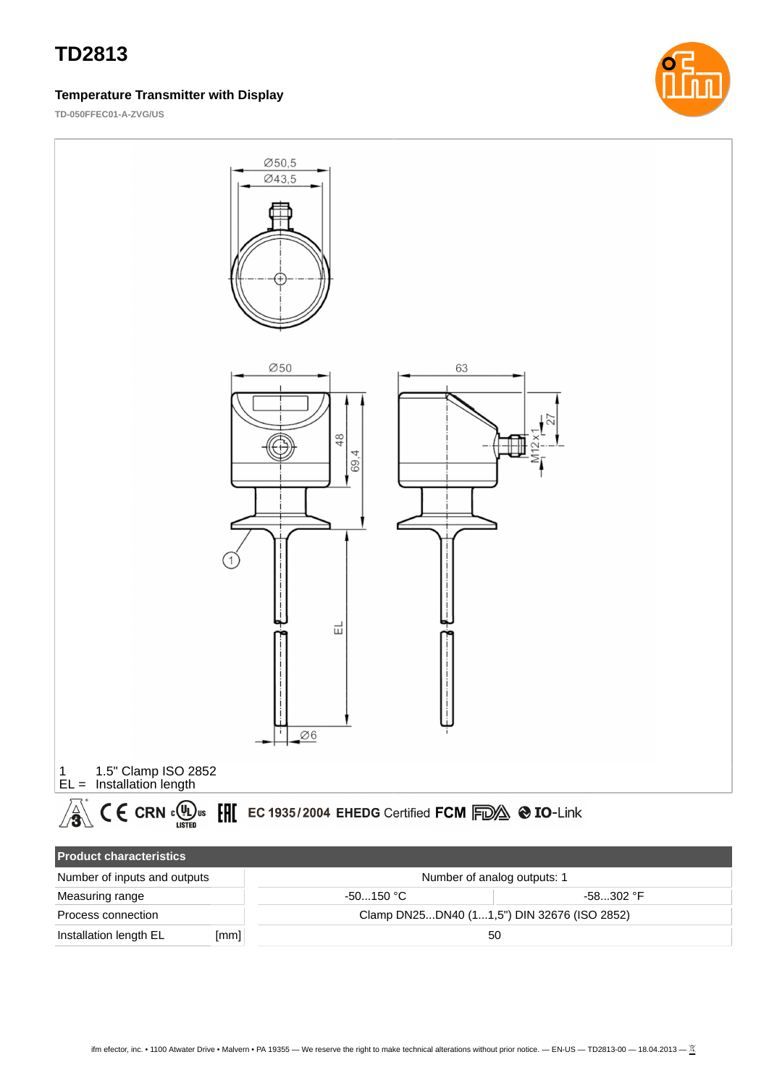#### **Temperature Transmitter with Display**

**TD-050FFEC01-A-ZVG/US**





| T TOUGLOT CHARGE TOUGH       |      |                                             |           |  |  |  |
|------------------------------|------|---------------------------------------------|-----------|--|--|--|
| Number of inputs and outputs |      | Number of analog outputs: 1                 |           |  |  |  |
| Measuring range              |      | $-50150$ °C.                                | -58302 °F |  |  |  |
| Process connection           |      | Clamp DN25DN40 (11.5") DIN 32676 (ISO 2852) |           |  |  |  |
| Installation length EL       | [mm] |                                             | 50        |  |  |  |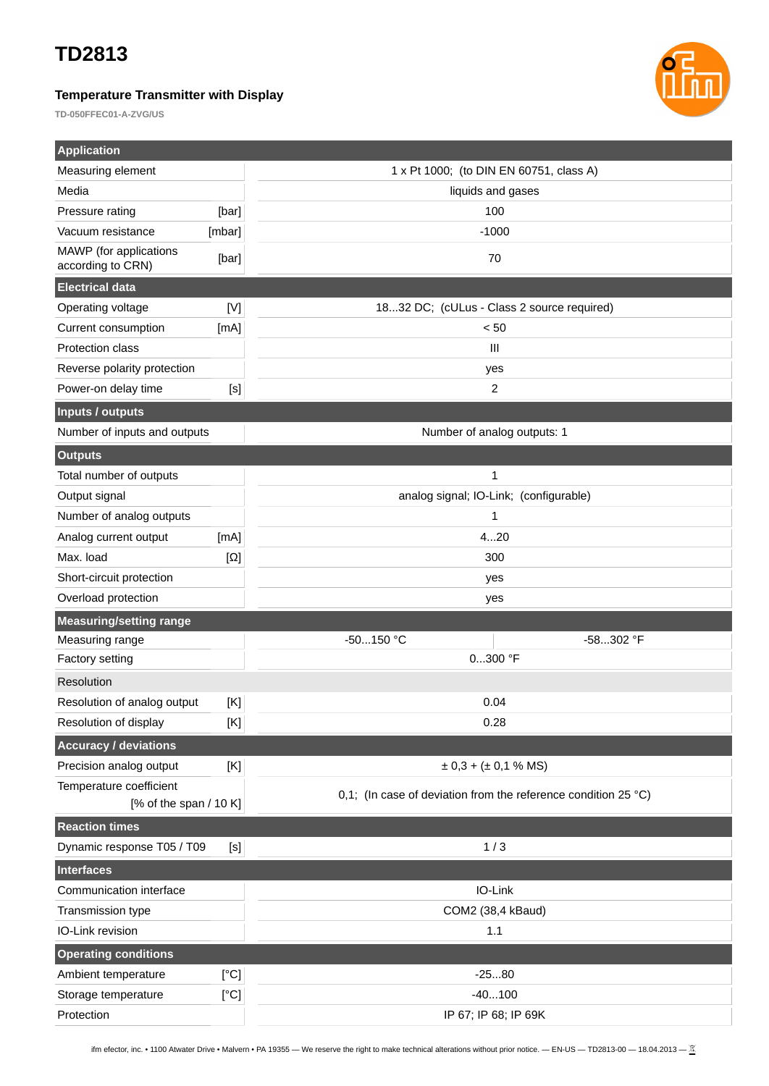### **Temperature Transmitter with Display**

**TD-050FFEC01-A-ZVG/US**



| <b>Application</b>                                          |                |                                                                          |  |  |
|-------------------------------------------------------------|----------------|--------------------------------------------------------------------------|--|--|
| Measuring element                                           |                | 1 x Pt 1000; (to DIN EN 60751, class A)                                  |  |  |
| Media                                                       |                | liquids and gases                                                        |  |  |
| Pressure rating                                             | [bar]          | 100                                                                      |  |  |
| Vacuum resistance                                           | [mbar]         | $-1000$                                                                  |  |  |
| MAWP (for applications<br>according to CRN)                 | [bar]          | 70                                                                       |  |  |
| <b>Electrical data</b>                                      |                |                                                                          |  |  |
| Operating voltage                                           | [V]            | 1832 DC; (cULus - Class 2 source required)                               |  |  |
| Current consumption                                         | [mA]           | $< 50$                                                                   |  |  |
| <b>Protection class</b>                                     |                | $\mathbf{III}$                                                           |  |  |
| Reverse polarity protection                                 |                | yes                                                                      |  |  |
| Power-on delay time                                         | [s]            | $\overline{c}$                                                           |  |  |
| <b>Inputs / outputs</b>                                     |                |                                                                          |  |  |
| Number of inputs and outputs<br>Number of analog outputs: 1 |                |                                                                          |  |  |
| <b>Outputs</b>                                              |                |                                                                          |  |  |
| Total number of outputs                                     |                | $\mathbf{1}$                                                             |  |  |
| Output signal                                               |                | analog signal; IO-Link; (configurable)                                   |  |  |
| Number of analog outputs                                    |                | 1                                                                        |  |  |
| Analog current output                                       | [mA]           | 420                                                                      |  |  |
| Max. load                                                   | $[\Omega]$     | 300                                                                      |  |  |
| Short-circuit protection                                    |                | yes                                                                      |  |  |
|                                                             |                | yes                                                                      |  |  |
| Overload protection                                         |                |                                                                          |  |  |
| <b>Measuring/setting range</b>                              |                |                                                                          |  |  |
| Measuring range                                             |                | -50150 °C<br>-58302 °F                                                   |  |  |
| Factory setting                                             |                | $0300$ °F                                                                |  |  |
| Resolution                                                  |                |                                                                          |  |  |
| Resolution of analog output                                 | $[\mathsf{K}]$ | 0.04                                                                     |  |  |
| Resolution of display                                       | [K]            | 0.28                                                                     |  |  |
| <b>Accuracy / deviations</b>                                |                |                                                                          |  |  |
| Precision analog output                                     | [K]            | $\pm$ 0,3 + ( $\pm$ 0,1 % MS)                                            |  |  |
| Temperature coefficient                                     |                |                                                                          |  |  |
| [% of the span $/$ 10 K]                                    |                | 0,1; (In case of deviation from the reference condition 25 $^{\circ}$ C) |  |  |
| <b>Reaction times</b>                                       |                |                                                                          |  |  |
| Dynamic response T05 / T09                                  | $[S]$          | 1/3                                                                      |  |  |
| <b>Interfaces</b>                                           |                |                                                                          |  |  |
| Communication interface                                     |                | IO-Link                                                                  |  |  |
| Transmission type                                           |                | COM2 (38,4 kBaud)                                                        |  |  |
| IO-Link revision                                            |                | $1.1\,$                                                                  |  |  |
| <b>Operating conditions</b>                                 |                |                                                                          |  |  |
| Ambient temperature                                         | [°C]           | $-2580$                                                                  |  |  |
| Storage temperature                                         | [°C]           | $-40100$                                                                 |  |  |

ifm efector, inc. • 1100 Atwater Drive • Malvern • PA 19355 — We reserve the right to make technical alterations without prior notice. — EN-US — TD2813-00 — 18.04.2013 —  $\frac{\mathbb{X}}{2}$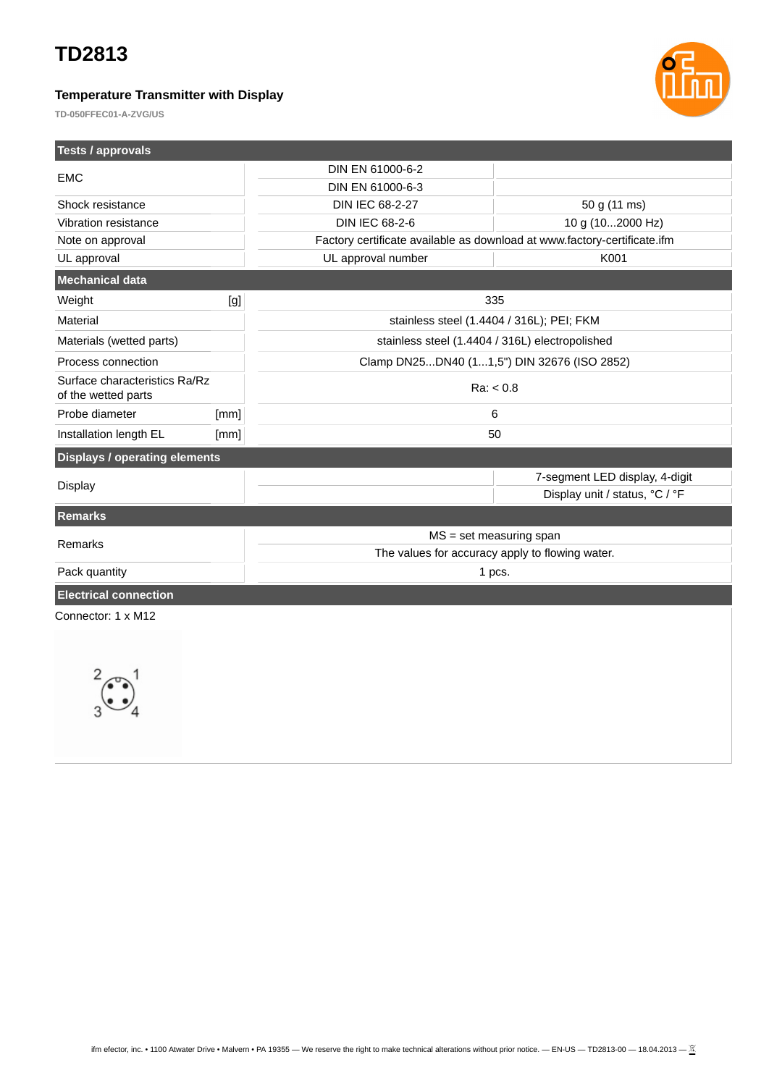### **Temperature Transmitter with Display**



**TD-050FFEC01-A-ZVG/US**

| <b>Tests / approvals</b>                             |      |                                                                          |                                |  |
|------------------------------------------------------|------|--------------------------------------------------------------------------|--------------------------------|--|
|                                                      |      | DIN EN 61000-6-2                                                         |                                |  |
| <b>EMC</b>                                           |      | DIN EN 61000-6-3                                                         |                                |  |
| Shock resistance                                     |      | DIN IEC 68-2-27                                                          | 50 g (11 ms)                   |  |
| Vibration resistance                                 |      | <b>DIN IEC 68-2-6</b>                                                    | 10 g (102000 Hz)               |  |
| Note on approval                                     |      | Factory certificate available as download at www.factory-certificate.ifm |                                |  |
| UL approval                                          |      | UL approval number                                                       | K001                           |  |
| Mechanical data                                      |      |                                                                          |                                |  |
| Weight                                               | [g]  |                                                                          | 335                            |  |
| Material                                             |      | stainless steel (1.4404 / 316L); PEI; FKM                                |                                |  |
| Materials (wetted parts)                             |      | stainless steel (1.4404 / 316L) electropolished                          |                                |  |
| Process connection                                   |      | Clamp DN25DN40 (11,5") DIN 32676 (ISO 2852)                              |                                |  |
| Surface characteristics Ra/Rz<br>of the wetted parts |      | Ra: < 0.8                                                                |                                |  |
| Probe diameter                                       | [mm] | 6                                                                        |                                |  |
| Installation length EL                               | [mm] | 50                                                                       |                                |  |
| <b>Displays / operating elements</b>                 |      |                                                                          |                                |  |
|                                                      |      |                                                                          | 7-segment LED display, 4-digit |  |
| <b>Display</b>                                       |      |                                                                          | Display unit / status, °C / °F |  |
| <b>Remarks</b>                                       |      |                                                                          |                                |  |
| Remarks                                              |      | $MS = set measuring span$                                                |                                |  |
|                                                      |      | The values for accuracy apply to flowing water.                          |                                |  |
| Pack quantity                                        |      | 1 pcs.                                                                   |                                |  |
| <b>Electrical connection</b>                         |      |                                                                          |                                |  |
| Connector: 1 x M12                                   |      |                                                                          |                                |  |
|                                                      |      |                                                                          |                                |  |